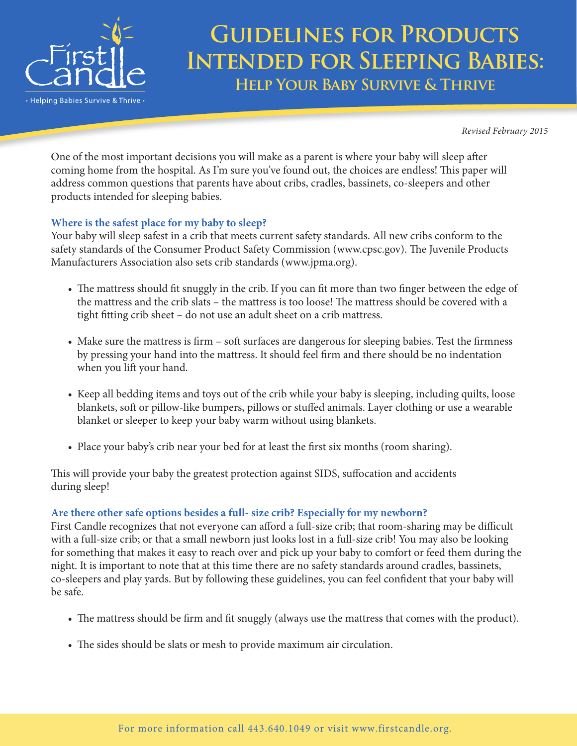

## **Guidelines for Products Intended for Sleeping Babies: Help Your Baby Survive & Thrive**

*Revised February 2015*

One of the most important decisions you will make as a parent is where your baby will sleep after coming home from the hospital. As I'm sure you've found out, the choices are endless! This paper will address common questions that parents have about cribs, cradles, bassinets, co-sleepers and other products intended for sleeping babies.

## **Where is the safest place for my baby to sleep?**

Your baby will sleep safest in a crib that meets current safety standards. All new cribs conform to the safety standards of the Consumer Product Safety Commission (www.cpsc.gov). The Juvenile Products Manufacturers Association also sets crib standards (www.jpma.org).

- The mattress should fit snuggly in the crib. If you can fit more than two finger between the edge of the mattress and the crib slats – the mattress is too loose! The mattress should be covered with a tight fitting crib sheet – do not use an adult sheet on a crib mattress.
- Make sure the mattress is firm soft surfaces are dangerous for sleeping babies. Test the firmness by pressing your hand into the mattress. It should feel firm and there should be no indentation when you lift your hand.
- Keep all bedding items and toys out of the crib while your baby is sleeping, including quilts, loose blankets, soft or pillow-like bumpers, pillows or stuffed animals. Layer clothing or use a wearable blanket or sleeper to keep your baby warm without using blankets.
- Place your baby's crib near your bed for at least the first six months (room sharing).

This will provide your baby the greatest protection against SIDS, suffocation and accidents during sleep!

## **Are there other safe options besides a full- size crib? Especially for my newborn?**

First Candle recognizes that not everyone can afford a full-size crib; that room-sharing may be difficult with a full-size crib; or that a small newborn just looks lost in a full-size crib! You may also be looking for something that makes it easy to reach over and pick up your baby to comfort or feed them during the night. It is important to note that at this time there are no safety standards around cradles, bassinets, co-sleepers and play yards. But by following these guidelines, you can feel confident that your baby will be safe.

- The mattress should be firm and fit snuggly (always use the mattress that comes with the product).
- The sides should be slats or mesh to provide maximum air circulation.